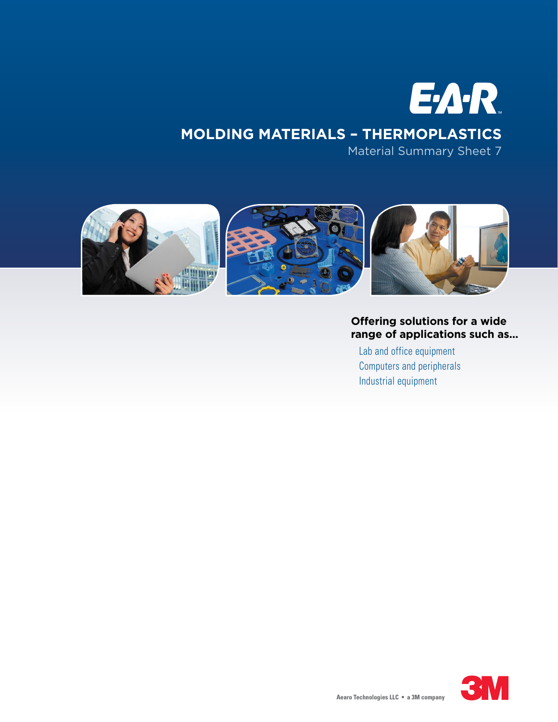

Material Summary Sheet 7



# **Offering solutions for a wide range of applications such as...**

Lab and office equipment Computers and peripherals Industrial equipment

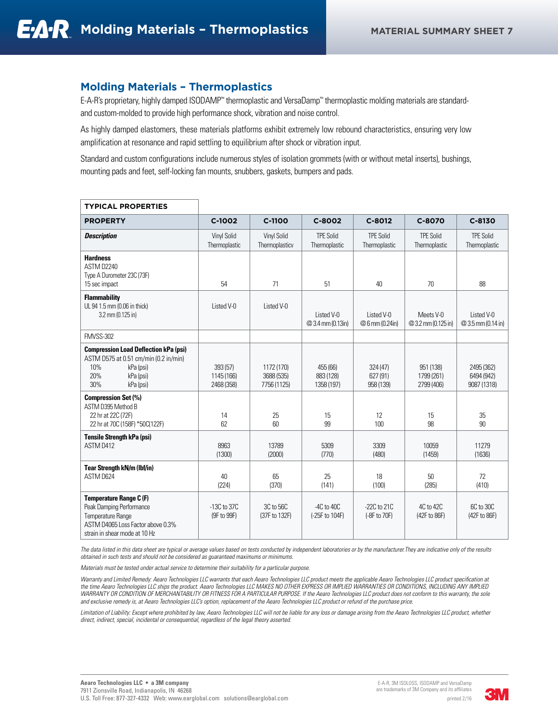### **Molding Materials – Thermoplastics**

E-A-R's proprietary, highly damped ISODAMP™ thermoplastic and VersaDamp™ thermoplastic molding materials are standardand custom-molded to provide high performance shock, vibration and noise control.

As highly damped elastomers, these materials platforms exhibit extremely low rebound characteristics, ensuring very low amplification at resonance and rapid settling to equilibrium after shock or vibration input.

Standard and custom configurations include numerous styles of isolation grommets (with or without metal inserts), bushings, mounting pads and feet, self-locking fan mounts, snubbers, gaskets, bumpers and pads.

| <b>PROPERTY</b>                                                                                                                                       | $C-1002$                             | C-1100                                  | C-8002                              | C-8012                            | C-8070                                | $C-8130$                                |
|-------------------------------------------------------------------------------------------------------------------------------------------------------|--------------------------------------|-----------------------------------------|-------------------------------------|-----------------------------------|---------------------------------------|-----------------------------------------|
| <b>Description</b>                                                                                                                                    | <b>Vinyl Solid</b><br>Thermoplastic  | Vinyl Solid<br>Thermoplasticv           | <b>TPE Solid</b><br>Thermoplastic   | <b>TPE Solid</b><br>Thermoplastic | <b>TPE Solid</b><br>Thermoplastic     | <b>TPE Solid</b><br>Thermoplastic       |
| <b>Hardness</b><br>ASTM D2240<br>Type A Durometer 23C (73F)<br>15 sec impact                                                                          | 54                                   | 71                                      | 51                                  | 40                                | 70                                    | 88                                      |
| <b>Flammability</b><br>UL 94 1.5 mm (0.06 in thick)<br>3.2 mm (0.125 in)                                                                              | Listed V-0                           | Listed V-0                              | Listed V-0<br>@ 3.4 mm (0.13in)     | Listed V-0<br>@6 mm (0.24in)      | Meets V-0<br>@ 3.2 mm (0.125 in)      | Listed V-0<br>@ 3.5 mm (0.14 in)        |
| <b>FMVSS-302</b>                                                                                                                                      |                                      |                                         |                                     |                                   |                                       |                                         |
| <b>Compression Load Deflection kPa (psi)</b><br>ASTM D575 at 0.51 cm/min (0.2 in/min)<br>10%<br>kPa (psi)<br>20%<br>kPa (psi)<br>30%<br>kPa (psi)     | 393 (57)<br>1145 (166)<br>2468 (358) | 1172 (170)<br>3688 (535)<br>7756 (1125) | 455 (66)<br>883 (128)<br>1358 (197) | 324(47)<br>627 (91)<br>958 (139)  | 951 (138)<br>1799 (261)<br>2799 (406) | 2495 (362)<br>6494 (942)<br>9087 (1318) |
| <b>Compression Set (%)</b><br>ASTM D395 Method B<br>22 hr at 22C (72F)<br>22 hr at 70C (158F) *50C(122F)                                              | 14<br>62                             | 25<br>60                                | 15<br>99                            | 12<br>100                         | 15<br>98                              | 35<br>90                                |
| <b>Tensile Strength kPa (psi)</b><br>ASTM D412                                                                                                        | 8963<br>(1300)                       | 13789<br>(2000)                         | 5309<br>(770)                       | 3309<br>(480)                     | 10059<br>(1459)                       | 11279<br>(1636)                         |
| <b>Tear Strength kN/m (lbf/in)</b><br>ASTM D624                                                                                                       | 40<br>(224)                          | 65<br>(370)                             | 25<br>(141)                         | 18<br>(100)                       | 50<br>(285)                           | 72<br>(410)                             |
| <b>Temperature Range C (F)</b><br>Peak Damping Performance<br>Temperature Range<br>ASTM D4065 Loss Factor above 0.3%<br>strain in shear mode at 10 Hz | $-13C$ to $37C$<br>(9F to 99F)       | 3C to 56C<br>(37F to 132F)              | $-4C$ to $40C$<br>(-25F to 104F)    | $-22C$ to $21C$<br>(-8F to 70F)   | 4C to 42C<br>(42F to 86F)             | 6C to 30C<br>(42F to 86F)               |

#### **TYPICAL PROPERTIES**

*The data listed in this data sheet are typical or average values based on tests conducted by independent laboratories or by the manufacturer.They are indicative only of the results obtained in such tests and should not be considered as guaranteed maximums or minimums.*

*Materials must be tested under actual service to determine their suitability for a particular purpose.*

Warranty and Limited Remedy: Aearo Technologies LLC warrants that each Aearo Technologies LLC product meets the applicable Aearo Technologies LLC product specification at *the time Aearo Technologies LLC ships the product. Aearo Technologies LLC MAKES NO OTHER EXPRESS OR IMPLIED WARRANTIES OR CONDITIONS, INCLUDING ANY IMPLIED WARRANTY OR CONDITION OF MERCHANTABILITY OR FITNESS FOR A PARTICULAR PURPOSE. If the Aearo Technologies LLC product does not conform to this warranty, the sole and exclusive remedy is, at Aearo Technologies LLC's option, replacement of the Aearo Technologies LLC product or refund of the purchase price.*

Limitation of Liability: Except where prohibited by law, Aearo Technologies LLC will not be liable for any loss or damage arising from the Aearo Technologies LLC product, whether *direct, indirect, special, incidental or consequential, regardless of the legal theory asserted.*

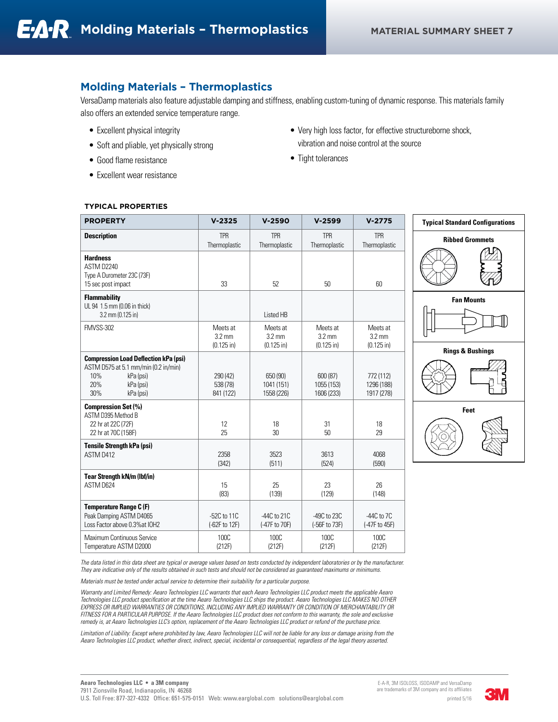# **Molding Materials – Thermoplastics**

VersaDamp materials also feature adjustable damping and stiffness, enabling custom-tuning of dynamic response. This materials family also offers an extended service temperature range.

- Excellent physical integrity
- Soft and pliable, yet physically strong
- Good flame resistance
- Excellent wear resistance
- Very high loss factor, for effective structureborne shock, vibration and noise control at the source
- Tight tolerances

#### **TYPICAL PROPERTIES**

| <b>PROPERTY</b>                                                                                                                                  | $V - 2325$                                   | $V-2590$                                     | $V-2599$                                     | $V-2775$                                     |
|--------------------------------------------------------------------------------------------------------------------------------------------------|----------------------------------------------|----------------------------------------------|----------------------------------------------|----------------------------------------------|
| <b>Description</b>                                                                                                                               | <b>TPR</b><br>Thermoplastic                  | <b>TPR</b><br>Thermoplastic                  | <b>TPR</b><br>Thermoplastic                  | <b>TPR</b><br>Thermoplastic                  |
| <b>Hardness</b><br>ASTM D2240<br>Type A Durometer 23C (73F)<br>15 sec post impact                                                                | 33                                           | 52                                           | 50                                           | 60                                           |
| <b>Flammability</b><br>UL 94 1.5 mm (0.06 in thick)<br>$3.2$ mm (0.125 in)                                                                       |                                              | Listed HB                                    |                                              |                                              |
| <b>FMVSS-302</b>                                                                                                                                 | Meets at<br>$3.2 \text{ mm}$<br>$(0.125$ in) | Meets at<br>$3.2 \text{ mm}$<br>$(0.125$ in) | Meets at<br>$3.2 \text{ mm}$<br>$(0.125$ in) | Meets at<br>$3.2 \text{ mm}$<br>$(0.125$ in) |
| <b>Compression Load Deflection kPa (psi)</b><br>ASTM D575 at 5.1 mm/min (0.2 in/min)<br>10%<br>kPa (psi)<br>20%<br>kPa (psi)<br>30%<br>kPa (psi) | 290 (42)<br>538 (78)<br>841 (122)            | 650 (90)<br>1041 (151)<br>1558 (226)         | 600 (87)<br>1055 (153)<br>1606 (233)         | 772 (112)<br>1296 (188)<br>1917 (278)        |
| <b>Compression Set (%)</b><br>ASTM D395 Method B<br>22 hr at 22C (72F)<br>22 hr at 70C (158F)                                                    | 12<br>25                                     | 18<br>30                                     | 31<br>50                                     | 18<br>29                                     |
| <b>Tensile Strength kPa (psi)</b><br>ASTM D412                                                                                                   | 2358<br>(342)                                | 3523<br>(511)                                | 3613<br>(524)                                | 4068<br>(590)                                |
| <b>Tear Strength kN/m (lbf/in)</b><br>ASTM D624                                                                                                  | 15<br>(83)                                   | 25<br>(139)                                  | 23<br>(129)                                  | 26<br>(148)                                  |
| <b>Temperature Range C (F)</b><br>Peak Damping ASTM D4065<br>Loss Factor above 0.3% at IOH2                                                      | $-52C$ to $11C$<br>(-62F to 12F)             | $-44C$ to $21C$<br>(-47F to 70F)             | $-49C$ to $23C$<br>(-56F to 73F)             | $-44C$ to $7C$<br>(-47F to 45F)              |
| Maximum Continuous Service<br>Temperature ASTM D2000                                                                                             | <b>100C</b><br>(212F)                        | 100C<br>(212F)                               | <b>100C</b><br>(212F)                        | 100C<br>(212F)                               |



*The data listed in this data sheet are typical or average values based on tests conducted by independent laboratories or by the manufacturer. They are indicative only of the results obtained in such tests and should not be considered as guaranteed maximums or minimums.*

*Materials must be tested under actual service to determine their suitability for a particular purpose.*

*Warranty and Limited Remedy: Aearo Technologies LLC warrants that each Aearo Technologies LLC product meets the applicable Aearo Technologies LLC product specification at the time Aearo Technologies LLC ships the product. Aearo Technologies LLC MAKES NO OTHER EXPRESS OR IMPLIED WARRANTIES OR CONDITIONS, INCLUDING ANY IMPLIED WARRANTY OR CONDITION OF MERCHANTABILITY OR FITNESS FOR A PARTICULAR PURPOSE. If the Aearo Technologies LLC product does not conform to this warranty, the sole and exclusive remedy is, at Aearo Technologies LLC's option, replacement of the Aearo Technologies LLC product or refund of the purchase price.*

Limitation of Liability: Except where prohibited by law, Aearo Technologies LLC will not be liable for any loss or damage arising from the *Aearo Technologies LLC product, whether direct, indirect, special, incidental or consequential, regardless of the legal theory asserted.*